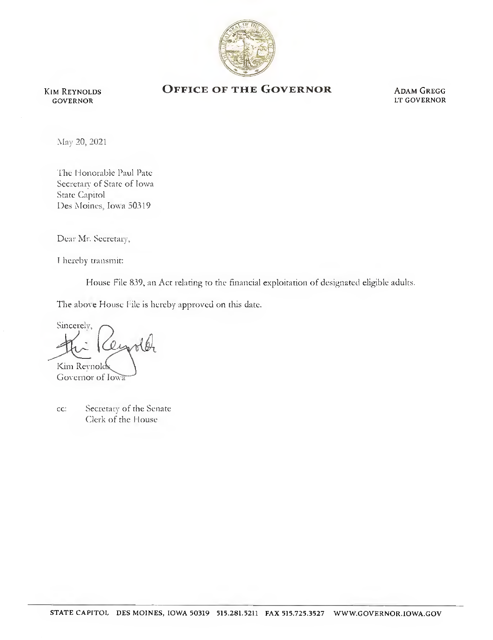

Kim Reynolds GOVERNOR

## OFFICE OF THE GOVERNOR ADAM GREGG

LT GOVERNOR

May 20, 2021

The Honorable Paul Pate Secretary of State of Iowa State Capitol Des Moines, Iowa 50319

Dear Mr. Secretary,

I hereby transmit:

House File 839, an Act relating to the financial exploitation of designated eligible adults.

The above House File is hereby approved on this date.

Sincerely, Kim Reynold Goyernor of Iowa

cc: Secretary of the Senate Clerk of the Flouse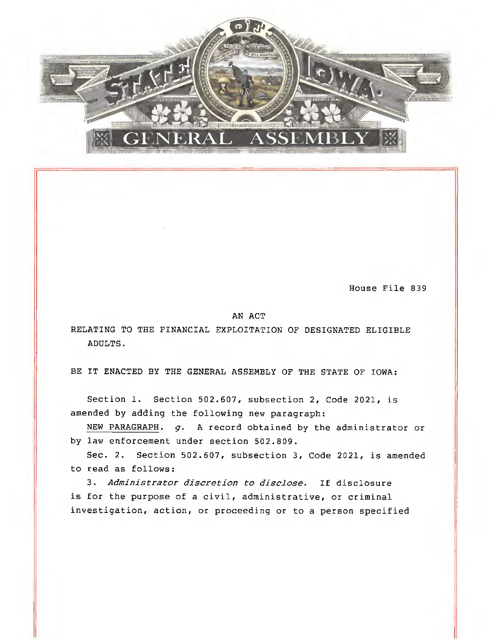

House File 839

## AN ACT

RELATING TO THE FINANCIAL EXPLOITATION OF DESIGNATED ELIGIBLE ADULTS.

BE IT ENACTED BY THE GENERAL ASSEMBLY OF THE STATE OF IOWA:

Section 1. Section 502.607, subsection 2, Code 2021, is amended by adding the following new paragraph:

NEW PARAGRAPH.  $g$ . A record obtained by the administrator or by law enforcement under section 502.809.

Sec. 2. Section 502.607, subsection 3, Code 2021, is amended to read as follows:

3. Administrator discretion to disclose. If disclosure is for the purpose of a civil, administrative, or criminal investigation, action, or proceeding or to a person specified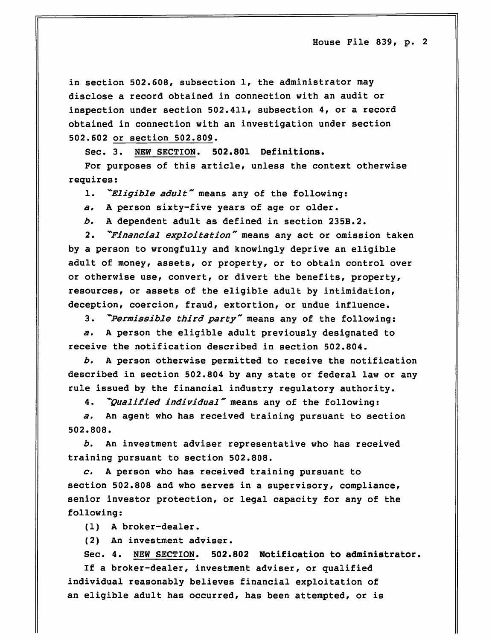in section 502.608, subsection 1, the administrator may disclose a record obtained in connection with an audit or inspection under section 502.411, subsection 4, or a record obtained in connection with an investigation under section 502.602 or section 502.809.

Sec. 3. NEW SECTION. 502.801 Definitions.

For purposes of this article, unless the context otherwise requires:

1. "Eligible adult" means any of the following:

a, A person sixty-five years of age or older.

b. A dependent adult as defined in section 235B.2.

2. "Financial exploitation" means any act or omission taken by a person to wrongfully and knowingly deprive an eligible adult of money, assets, or property, or to obtain control over or otherwise use, convert, or divert the benefits, property, resources, or assets of the eligible adult by intimidation, deception, coercion, fraud, extortion, or undue influence.

3. "Permissible third party" means any of the following:

a, A person the eligible adult previously designated to receive the notification described in section 502.804.

b, A person otherwise permitted to receive the notification described in section 502.804 by any state or federal law or any rule issued by the financial industry regulatory authority.

4. "Qualified individual" means any of the following:

a. An agent who has received training pursuant to section 502.808.

b. An investment adviser representative who has received training pursuant to section 502.808.

 $c.$  A person who has received training pursuant to section 502.808 and who serves in a supervisory, compliance, senior investor protection, or legal capacity for any of the following:

(1) A broker-dealer.

(2) An investment adviser.

Sec. 4. NEW SECTION. 502.802 Notification to administrator.

If a broker-dealer, investment adviser, or qualified individual reasonably believes financial exploitation of an eligible adult has occurred, has been attempted, or is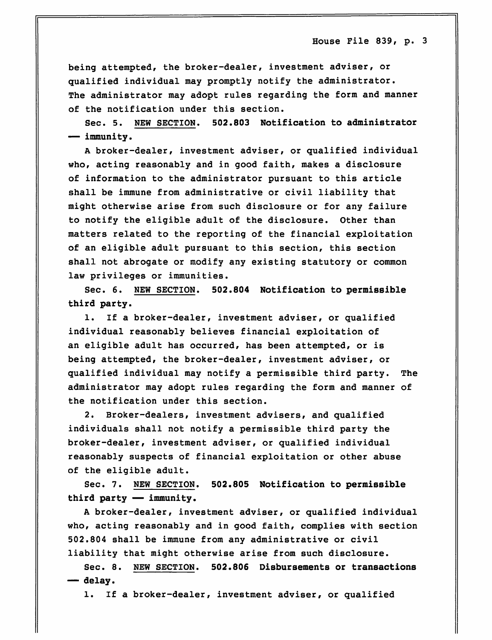being attempted, the broker-dealer, investment adviser, or qualified individual may promptly notify the administrator. The administrator may adopt rules regarding the form and manner of the notification under this section.

Sec. 5. NEW SECTION. 502.803 Notification to administrator — immunity.

A broker-dealer, investment adviser, or qualified individual who, acting reasonably and in good faith, makes a disclosure of information to the administrator pursuant to this article shall be immune from administrative or civil liability that might otherwise arise from such disclosure or for any failure to notify the eligible adult of the disclosure. Other than matters related to the reporting of the financial exploitation of an eligible adult pursuant to this section, this section shall not abrogate or modify any existing statutory or common law privileges or immunities.

Sec. 6. NEW SECTION. 502.804 Notification to permissible third party.

1. If a broker-dealer, investment adviser, or qualified individual reasonably believes financial exploitation of an eligible adult has occurred, has been attempted, or is being attempted, the broker-dealer, investment adviser, or qualified individual may notify a permissible third party. The administrator may adopt rules regarding the form and manner of the notification under this section.

2. Broker-dealers, investment advisers, and qualified individuals shall not notify a permissible third party the broker-dealer, investment adviser, or qualified individual reasonably suspects of financial exploitation or other abuse of the eligible adult.

Sec. 7. NEW SECTION. 502.805 Notification to permissible third party — immunity.

A broker-dealer, investment adviser, or qualified individual who, acting reasonably and in good faith, complies with section 502.804 shall be immune from any administrative or civil liability that might otherwise arise from such disclosure.

Sec. 8. NEW SECTION. 502.806 Disbursements or transactions — delay.

1. If a broker-dealer, investment adviser, or qualified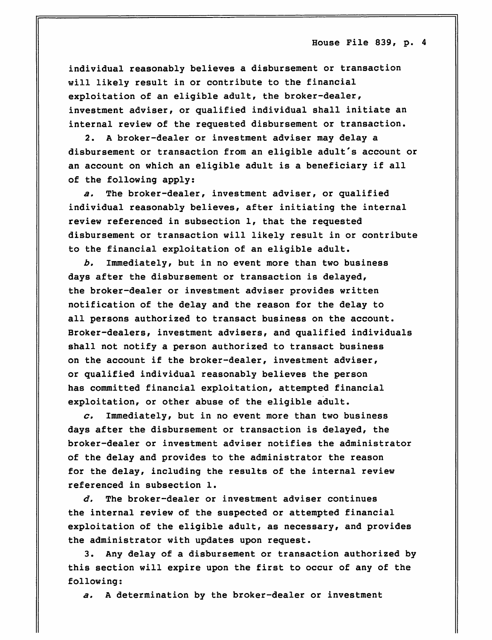individual reasonably believes a disbursement or transaction will likely result in or contribute to the financial exploitation of an eligible adult, the broker-dealer, investment adviser, or qualified individual shall initiate an internal review of the requested disbursement or transaction.

2. A broker-dealer or investment adviser may delay a disbursement or transaction from an eligible adult's account or an account on which an eligible adult is a beneficiary if all of the following apply:

a. The broker-dealer, investment adviser, or qualified individual reasonably believes, after initiating the internal review referenced in subsection 1, that the requested disbursement or transaction will likely result in or contribute to the financial exploitation of an eligible adult.

b. Immediately, but in no event more than two business days after the disbursement or transaction is delayed, the broker-dealer or investment adviser provides written notification of the delay and the reason for the delay to all persons authorized to transact business on the account. Broker-dealers, investment advisers, and qualified individuals shall not notify a person authorized to transact business on the account if the broker-dealer, investment adviser, or qualified individual reasonably believes the person has committed financial exploitation, attempted financial exploitation, or other abuse of the eligible adult.

 $c.$  Immediately, but in no event more than two business days after the disbursement or transaction is delayed, the broker-dealer or investment adviser notifies the administrator of the delay and provides to the administrator the reason for the delay, including the results of the internal review referenced in subsection 1.

 $d.$  The broker-dealer or investment adviser continues the internal review of the suspected or attempted financial exploitation of the eligible adult, as necessary, and provides the administrator with updates upon request.

3. Any delay of a disbursement or transaction authorized by this section will expire upon the first to occur of any of the following:

a, A determination by the broker-dealer or investment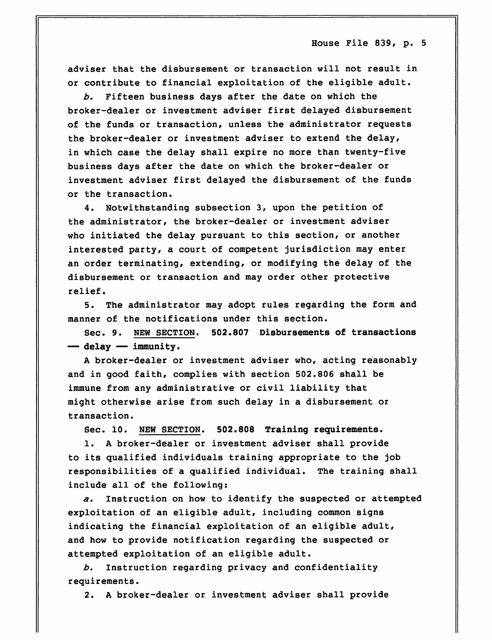adviser that the disbursement or transaction will not result in or contribute to financial exploitation of the eligible adult.

b. Fifteen business days after the date on which the broker-dealer or investment adviser first delayed disbursement of the funds or transaction, unless the administrator requests the broker-dealer or investment adviser to extend the delay, in which case the delay shall expire no more than twenty-five business days after the date on which the broker-dealer or investment adviser first delayed the disbursement of the funds or the transaction.

4. Notwithstanding subsection 3, upon the petition of the administrator, the broker-dealer or investment adviser who initiated the delay pursuant to this section, or another interested party, a court of competent jurisdiction may enter an order terminating, extending, or modifying the delay of the disbursement or transaction and may order other protective relief.

5. The administrator may adopt rules regarding the form and manner of the notifications under this section.

Sec. 9. NEW SECTION. 502.807 Disbursements of transactions — delay — immunity.

A broker-dealer or investment adviser who, acting reasonably and in good faith, complies with section 502.806 shall be immune from any administrative or civil liability that might otherwise arise from such delay in a disbursement or transaction.

Sec. 10. NEW SECTION. 502.808 Training requirements.

1. A broker-dealer or investment adviser shall provide to its qualified individuals training appropriate to the job responsibilities of a qualified individual. The training shall include all of the following;

a. Instruction on how to identify the suspected or attempted exploitation of an eligible adult, including common signs indicating the financial exploitation of an eligible adult, and how to provide notification regarding the suspected or attempted exploitation of an eligible adult.

b. Instruction regarding privacy and confidentiality requirements.

2. A broker-dealer or investment adviser shall provide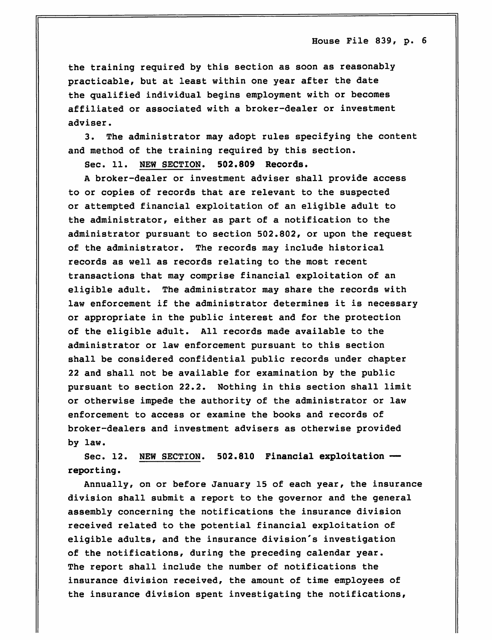the training required by this section as soon as reasonably practicable, but at least within one year after the date the qualified individual begins employment with or becomes affiliated or associated with a broker-dealer or investment adviser.

3. The administrator may adopt rules specifying the content and method of the training required by this section.

Sec. 11. NEW SECTION. 502.809 Records.

A broker-dealer or investment adviser shall provide access to or copies of records that are relevant to the suspected or attempted financial exploitation of an eligible adult to the administrator, either as part of a notification to the administrator pursuant to section 502.802, or upon the request of the administrator. The records may include historical records as well as records relating to the most recent transactions that may comprise financial exploitation of an eligible adult. The administrator may share the records with law enforcement if the administrator determines it is necessary or appropriate in the public interest and for the protection of the eligible adult. All records made available to the administrator or law enforcement pursuant to this section shall be considered confidential public records under chapter 22 and shall not be available for examination by the public pursuant to section 22.2. Nothing in this section shall limit or otherwise impede the authority of the administrator or law enforcement to access or examine the books and records of broker-dealers and investment advisers as otherwise provided by law.

Sec. 12. NEW SECTION. 502.810 Financial exploitation reporting.

Annually, on or before January 15 of each year, the insurance division shall submit a report to the governor and the general assembly concerning the notifications the insurance division received related to the potential financial exploitation of eligible adults, and the insurance division's investigation of the notifications, during the preceding calendar year. The report shall include the number of notifications the insurance division received, the amount of time employees of the insurance division spent investigating the notifications.